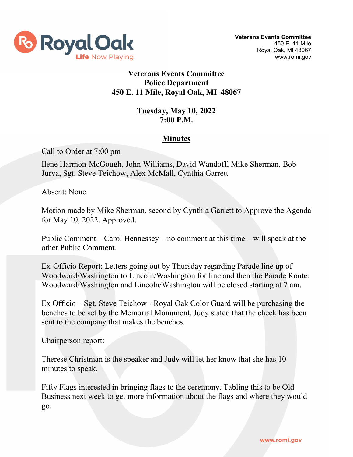

# **Veterans Events Committee Police Department 450 E. 11 Mile, Royal Oak, MI 48067**

### **Tuesday, May 10, 2022 7:00 P.M.**

# **Minutes**

Call to Order at 7:00 pm

Ilene Harmon-McGough, John Williams, David Wandoff, Mike Sherman, Bob Jurva, Sgt. Steve Teichow, Alex McMall, Cynthia Garrett

Absent: None

Motion made by Mike Sherman, second by Cynthia Garrett to Approve the Agenda for May 10, 2022. Approved.

Public Comment – Carol Hennessey – no comment at this time – will speak at the other Public Comment.

Ex-Officio Report: Letters going out by Thursday regarding Parade line up of Woodward/Washington to Lincoln/Washington for line and then the Parade Route. Woodward/Washington and Lincoln/Washington will be closed starting at 7 am.

Ex Officio – Sgt. Steve Teichow - Royal Oak Color Guard will be purchasing the benches to be set by the Memorial Monument. Judy stated that the check has been sent to the company that makes the benches.

Chairperson report:

Therese Christman is the speaker and Judy will let her know that she has 10 minutes to speak.

Fifty Flags interested in bringing flags to the ceremony. Tabling this to be Old Business next week to get more information about the flags and where they would go.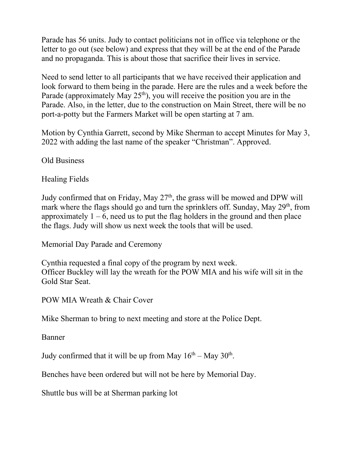Parade has 56 units. Judy to contact politicians not in office via telephone or the letter to go out (see below) and express that they will be at the end of the Parade and no propaganda. This is about those that sacrifice their lives in service.

Need to send letter to all participants that we have received their application and look forward to them being in the parade. Here are the rules and a week before the Parade (approximately May  $25<sup>th</sup>$ ), you will receive the position you are in the Parade. Also, in the letter, due to the construction on Main Street, there will be no port-a-potty but the Farmers Market will be open starting at 7 am.

Motion by Cynthia Garrett, second by Mike Sherman to accept Minutes for May 3, 2022 with adding the last name of the speaker "Christman". Approved.

Old Business

Healing Fields

Judy confirmed that on Friday, May  $27<sup>th</sup>$ , the grass will be mowed and DPW will mark where the flags should go and turn the sprinklers off. Sunday, May 29<sup>th</sup>, from approximately  $1 - 6$ , need us to put the flag holders in the ground and then place the flags. Judy will show us next week the tools that will be used.

Memorial Day Parade and Ceremony

Cynthia requested a final copy of the program by next week. Officer Buckley will lay the wreath for the POW MIA and his wife will sit in the Gold Star Seat.

POW MIA Wreath & Chair Cover

Mike Sherman to bring to next meeting and store at the Police Dept.

Banner

Judy confirmed that it will be up from May  $16<sup>th</sup> -$  May  $30<sup>th</sup>$ .

Benches have been ordered but will not be here by Memorial Day.

Shuttle bus will be at Sherman parking lot